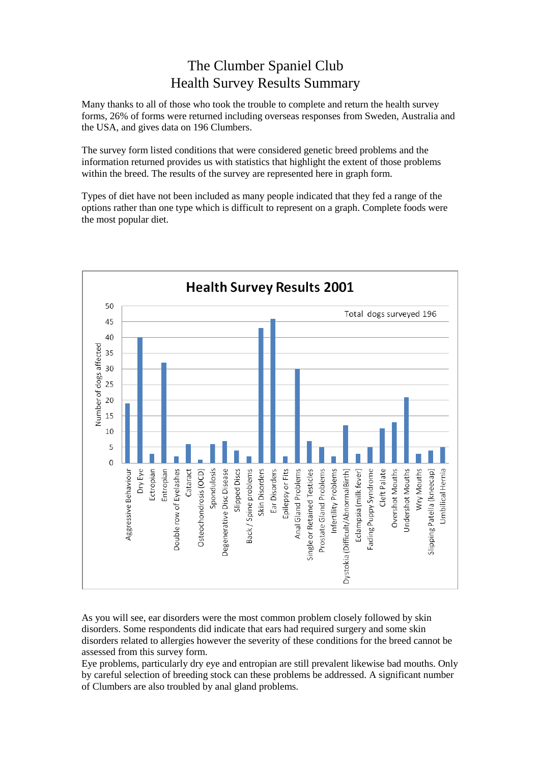## The Clumber Spaniel Club Health Survey Results Summary

Many thanks to all of those who took the trouble to complete and return the health survey forms, 26% of forms were returned including overseas responses from Sweden, Australia and the USA, and gives data on 196 Clumbers.

The survey form listed conditions that were considered genetic breed problems and the information returned provides us with statistics that highlight the extent of those problems within the breed. The results of the survey are represented here in graph form.

Types of diet have not been included as many people indicated that they fed a range of the options rather than one type which is difficult to represent on a graph. Complete foods were the most popular diet.



As you will see, ear disorders were the most common problem closely followed by skin disorders. Some respondents did indicate that ears had required surgery and some skin disorders related to allergies however the severity of these conditions for the breed cannot be assessed from this survey form.

Eye problems, particularly dry eye and entropian are still prevalent likewise bad mouths. Only by careful selection of breeding stock can these problems be addressed. A significant number of Clumbers are also troubled by anal gland problems.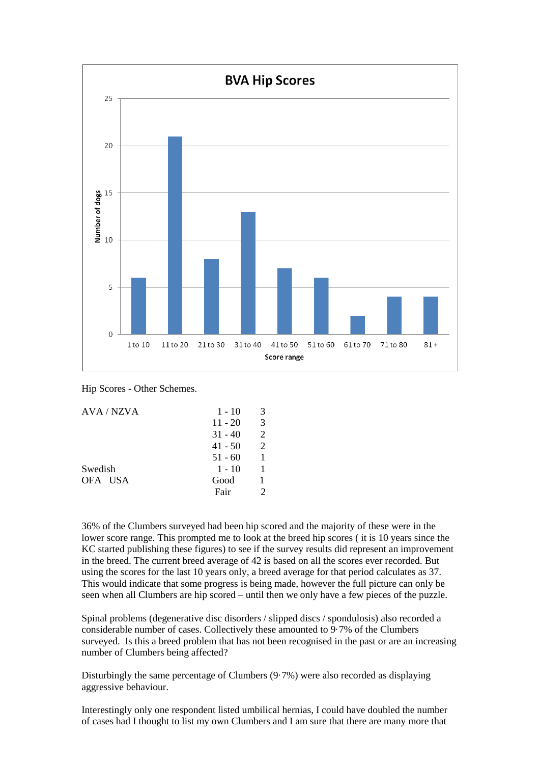

Hip Scores - Other Schemes.

| AVA / NZVA | $1 - 10$  | 3              |
|------------|-----------|----------------|
|            | $11 - 20$ | 3              |
|            | $31 - 40$ | 2              |
|            | $41 - 50$ | $\overline{2}$ |
|            | $51 - 60$ |                |
| Swedish    | $1 - 10$  |                |
| OFA USA    | Good      |                |
|            | Fair      |                |

36% of the Clumbers surveyed had been hip scored and the majority of these were in the lower score range. This prompted me to look at the breed hip scores ( it is 10 years since the KC started publishing these figures) to see if the survey results did represent an improvement in the breed. The current breed average of 42 is based on all the scores ever recorded. But using the scores for the last 10 years only, a breed average for that period calculates as 37. This would indicate that some progress is being made, however the full picture can only be seen when all Clumbers are hip scored – until then we only have a few pieces of the puzzle.

Spinal problems (degenerative disc disorders / slipped discs / spondulosis) also recorded a considerable number of cases. Collectively these amounted to 9·7% of the Clumbers surveyed. Is this a breed problem that has not been recognised in the past or are an increasing number of Clumbers being affected?

Disturbingly the same percentage of Clumbers  $(9.7%)$  were also recorded as displaying aggressive behaviour.

Interestingly only one respondent listed umbilical hernias, I could have doubled the number of cases had I thought to list my own Clumbers and I am sure that there are many more that